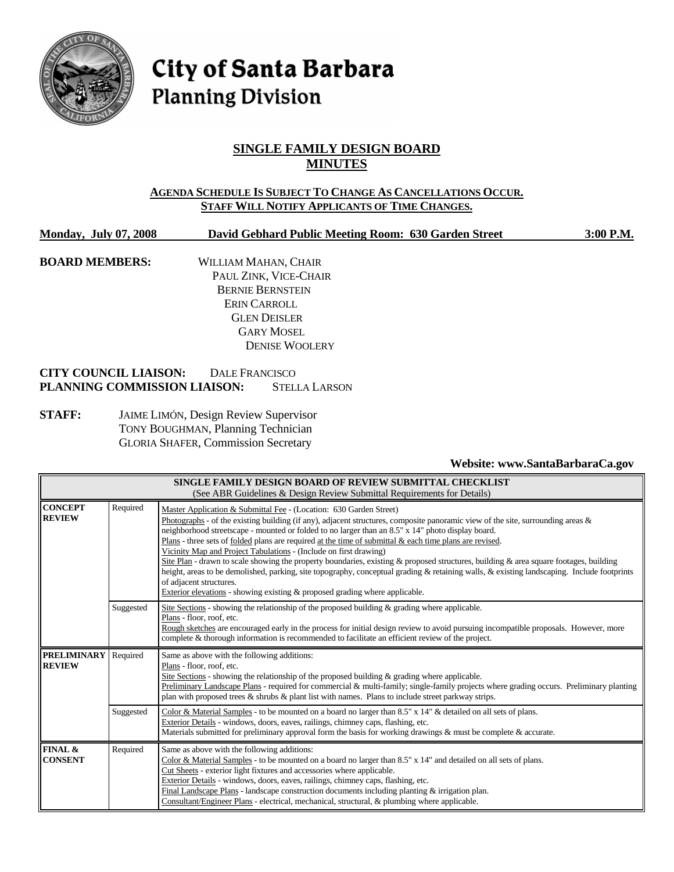

# City of Santa Barbara **Planning Division**

# **SINGLE FAMILY DESIGN BOARD MINUTES**

# **AGENDA SCHEDULE IS SUBJECT TO CHANGE AS CANCELLATIONS OCCUR. STAFF WILL NOTIFY APPLICANTS OF TIME CHANGES.**

**Monday, July 07, 2008 David Gebhard Public Meeting Room: 630 Garden Street 3:00 P.M.**

**BOARD MEMBERS:** WILLIAM MAHAN, CHAIR PAUL ZINK, VICE-CHAIR BERNIE BERNSTEIN ERIN CARROLL GLEN DEISLER GARY MOSEL DENISE WOOLERY

# **CITY COUNCIL LIAISON:** DALE FRANCISCO **PLANNING COMMISSION LIAISON:** STELLA LARSON

**STAFF:** JAIME LIMÓN, Design Review Supervisor TONY BOUGHMAN, Planning Technician GLORIA SHAFER, Commission Secretary

# **Website: www.SantaBarbaraCa.gov**

| SINGLE FAMILY DESIGN BOARD OF REVIEW SUBMITTAL CHECKLIST<br>(See ABR Guidelines & Design Review Submittal Requirements for Details) |           |                                                                                                                                                                                                                                                                                                                                                                                                                                                                                                                                                                                                                                                                                                                                                                                                                                                                                                      |  |  |
|-------------------------------------------------------------------------------------------------------------------------------------|-----------|------------------------------------------------------------------------------------------------------------------------------------------------------------------------------------------------------------------------------------------------------------------------------------------------------------------------------------------------------------------------------------------------------------------------------------------------------------------------------------------------------------------------------------------------------------------------------------------------------------------------------------------------------------------------------------------------------------------------------------------------------------------------------------------------------------------------------------------------------------------------------------------------------|--|--|
| <b>CONCEPT</b><br><b>REVIEW</b>                                                                                                     | Required  | Master Application & Submittal Fee - (Location: 630 Garden Street)<br>Photographs - of the existing building (if any), adjacent structures, composite panoramic view of the site, surrounding areas $\&$<br>neighborhood streetscape - mounted or folded to no larger than an 8.5" x 14" photo display board.<br>Plans - three sets of folded plans are required at the time of submittal $\&$ each time plans are revised.<br>Vicinity Map and Project Tabulations - (Include on first drawing)<br>Site Plan - drawn to scale showing the property boundaries, existing & proposed structures, building & area square footages, building<br>height, areas to be demolished, parking, site topography, conceptual grading & retaining walls, & existing landscaping. Include footprints<br>of adjacent structures.<br>Exterior elevations - showing existing $\&$ proposed grading where applicable. |  |  |
|                                                                                                                                     | Suggested | Site Sections - showing the relationship of the proposed building & grading where applicable.<br>Plans - floor, roof, etc.<br>Rough sketches are encouraged early in the process for initial design review to avoid pursuing incompatible proposals. However, more<br>complete & thorough information is recommended to facilitate an efficient review of the project.                                                                                                                                                                                                                                                                                                                                                                                                                                                                                                                               |  |  |
| <b>PRELIMINARY</b><br><b>REVIEW</b>                                                                                                 | Required  | Same as above with the following additions:<br>Plans - floor, roof, etc.<br>Site Sections - showing the relationship of the proposed building & grading where applicable.<br>Preliminary Landscape Plans - required for commercial & multi-family; single-family projects where grading occurs. Preliminary planting<br>plan with proposed trees & shrubs & plant list with names. Plans to include street parkway strips.                                                                                                                                                                                                                                                                                                                                                                                                                                                                           |  |  |
|                                                                                                                                     | Suggested | Color & Material Samples - to be mounted on a board no larger than 8.5" x 14" & detailed on all sets of plans.<br>Exterior Details - windows, doors, eaves, railings, chimney caps, flashing, etc.<br>Materials submitted for preliminary approval form the basis for working drawings & must be complete & accurate.                                                                                                                                                                                                                                                                                                                                                                                                                                                                                                                                                                                |  |  |
| FINAL &<br><b>CONSENT</b>                                                                                                           | Required  | Same as above with the following additions:<br>Color & Material Samples - to be mounted on a board no larger than $8.5" \times 14"$ and detailed on all sets of plans.<br>Cut Sheets - exterior light fixtures and accessories where applicable.<br>Exterior Details - windows, doors, eaves, railings, chimney caps, flashing, etc.<br>Final Landscape Plans - landscape construction documents including planting $\&$ irrigation plan.<br>Consultant/Engineer Plans - electrical, mechanical, structural, & plumbing where applicable.                                                                                                                                                                                                                                                                                                                                                            |  |  |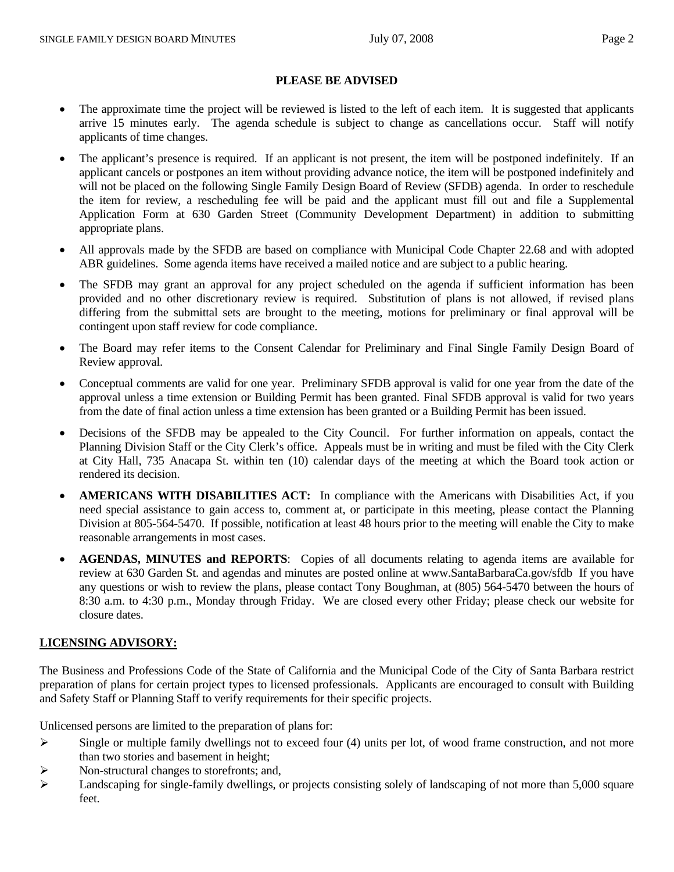#### **PLEASE BE ADVISED**

- The approximate time the project will be reviewed is listed to the left of each item. It is suggested that applicants arrive 15 minutes early. The agenda schedule is subject to change as cancellations occur. Staff will notify applicants of time changes.
- The applicant's presence is required. If an applicant is not present, the item will be postponed indefinitely. If an applicant cancels or postpones an item without providing advance notice, the item will be postponed indefinitely and will not be placed on the following Single Family Design Board of Review (SFDB) agenda. In order to reschedule the item for review, a rescheduling fee will be paid and the applicant must fill out and file a Supplemental Application Form at 630 Garden Street (Community Development Department) in addition to submitting appropriate plans.
- All approvals made by the SFDB are based on compliance with Municipal Code Chapter 22.68 and with adopted ABR guidelines. Some agenda items have received a mailed notice and are subject to a public hearing.
- The SFDB may grant an approval for any project scheduled on the agenda if sufficient information has been provided and no other discretionary review is required. Substitution of plans is not allowed, if revised plans differing from the submittal sets are brought to the meeting, motions for preliminary or final approval will be contingent upon staff review for code compliance.
- The Board may refer items to the Consent Calendar for Preliminary and Final Single Family Design Board of Review approval.
- Conceptual comments are valid for one year. Preliminary SFDB approval is valid for one year from the date of the approval unless a time extension or Building Permit has been granted. Final SFDB approval is valid for two years from the date of final action unless a time extension has been granted or a Building Permit has been issued.
- Decisions of the SFDB may be appealed to the City Council. For further information on appeals, contact the Planning Division Staff or the City Clerk's office. Appeals must be in writing and must be filed with the City Clerk at City Hall, 735 Anacapa St. within ten (10) calendar days of the meeting at which the Board took action or rendered its decision.
- **AMERICANS WITH DISABILITIES ACT:** In compliance with the Americans with Disabilities Act, if you need special assistance to gain access to, comment at, or participate in this meeting, please contact the Planning Division at 805-564-5470. If possible, notification at least 48 hours prior to the meeting will enable the City to make reasonable arrangements in most cases.
- **AGENDAS, MINUTES and REPORTS**: Copies of all documents relating to agenda items are available for review at 630 Garden St. and agendas and minutes are posted online at www.SantaBarbaraCa.gov/sfdb If you have any questions or wish to review the plans, please contact Tony Boughman, at (805) 564-5470 between the hours of 8:30 a.m. to 4:30 p.m., Monday through Friday. We are closed every other Friday; please check our website for closure dates.

# **LICENSING ADVISORY:**

The Business and Professions Code of the State of California and the Municipal Code of the City of Santa Barbara restrict preparation of plans for certain project types to licensed professionals. Applicants are encouraged to consult with Building and Safety Staff or Planning Staff to verify requirements for their specific projects.

Unlicensed persons are limited to the preparation of plans for:

- $\triangleright$  Single or multiple family dwellings not to exceed four (4) units per lot, of wood frame construction, and not more than two stories and basement in height;
- ¾ Non-structural changes to storefronts; and,
- $\blacktriangleright$  Landscaping for single-family dwellings, or projects consisting solely of landscaping of not more than 5,000 square feet.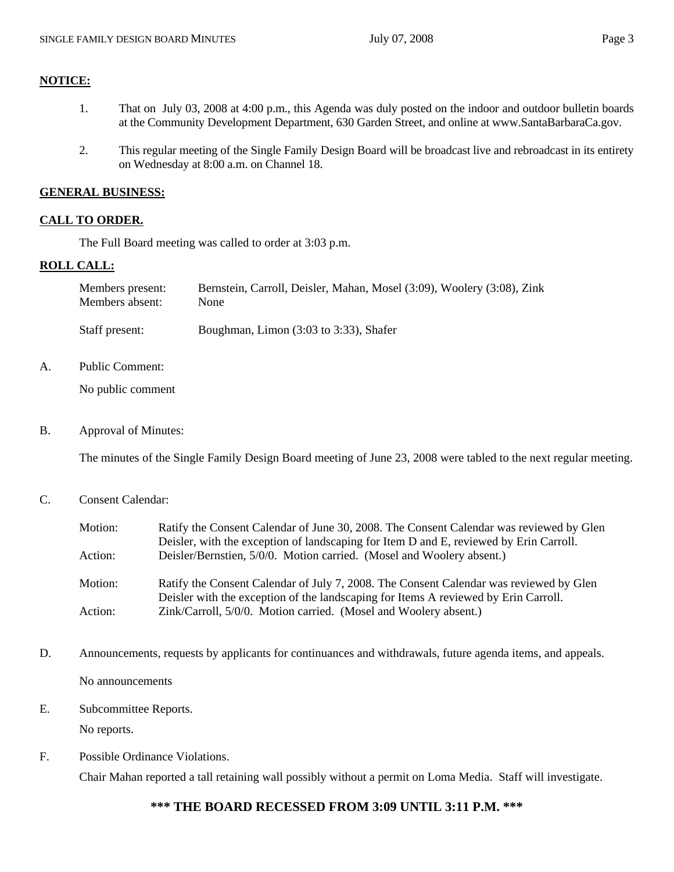- 1. That on July 03, 2008 at 4:00 p.m., this Agenda was duly posted on the indoor and outdoor bulletin boards at the Community Development Department, 630 Garden Street, and online at www.SantaBarbaraCa.gov.
- 2. This regular meeting of the Single Family Design Board will be broadcast live and rebroadcast in its entirety on Wednesday at 8:00 a.m. on Channel 18.

#### **GENERAL BUSINESS:**

#### **CALL TO ORDER.**

The Full Board meeting was called to order at 3:03 p.m.

#### **ROLL CALL:**

**NOTICE:**

| Members present: | Bernstein, Carroll, Deisler, Mahan, Mosel (3:09), Woolery (3:08), Zink |
|------------------|------------------------------------------------------------------------|
| Members absent:  | None                                                                   |
| Staff present:   | Boughman, Limon $(3:03$ to $3:33)$ , Shafer                            |

A. Public Comment:

No public comment

B. Approval of Minutes:

The minutes of the Single Family Design Board meeting of June 23, 2008 were tabled to the next regular meeting.

#### C. Consent Calendar:

| Motion: | Ratify the Consent Calendar of June 30, 2008. The Consent Calendar was reviewed by Glen<br>Deisler, with the exception of landscaping for Item D and E, reviewed by Erin Carroll. |  |
|---------|-----------------------------------------------------------------------------------------------------------------------------------------------------------------------------------|--|
| Action: | Deisler/Bernstien, 5/0/0. Motion carried. (Mosel and Woolery absent.)                                                                                                             |  |
| Motion: | Ratify the Consent Calendar of July 7, 2008. The Consent Calendar was reviewed by Glen<br>Deisler with the exception of the landscaping for Items A reviewed by Erin Carroll.     |  |
| Action: | Zink/Carroll, 5/0/0. Motion carried. (Mosel and Woolery absent.)                                                                                                                  |  |

- D. Announcements, requests by applicants for continuances and withdrawals, future agenda items, and appeals. No announcements
- E. Subcommittee Reports.

No reports.

F. Possible Ordinance Violations. Chair Mahan reported a tall retaining wall possibly without a permit on Loma Media. Staff will investigate.

# **\*\*\* THE BOARD RECESSED FROM 3:09 UNTIL 3:11 P.M. \*\*\***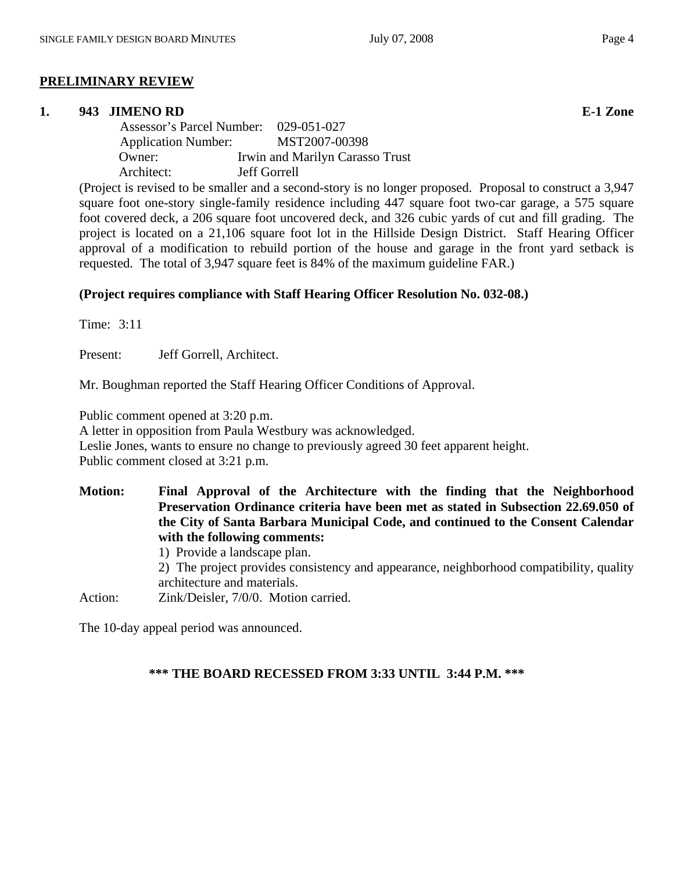# **PRELIMINARY REVIEW**

#### **1. 943 JIMENO RD E-1 Zone**

 Assessor's Parcel Number: 029-051-027 Application Number: MST2007-00398 Owner: Irwin and Marilyn Carasso Trust Architect: Jeff Gorrell

(Project is revised to be smaller and a second-story is no longer proposed. Proposal to construct a 3,947 square foot one-story single-family residence including 447 square foot two-car garage, a 575 square foot covered deck, a 206 square foot uncovered deck, and 326 cubic yards of cut and fill grading. The project is located on a 21,106 square foot lot in the Hillside Design District. Staff Hearing Officer approval of a modification to rebuild portion of the house and garage in the front yard setback is requested. The total of 3,947 square feet is 84% of the maximum guideline FAR.)

# **(Project requires compliance with Staff Hearing Officer Resolution No. 032-08.)**

Time: 3:11

Present: Jeff Gorrell, Architect.

Mr. Boughman reported the Staff Hearing Officer Conditions of Approval.

Public comment opened at 3:20 p.m.

A letter in opposition from Paula Westbury was acknowledged.

Leslie Jones, wants to ensure no change to previously agreed 30 feet apparent height.

Public comment closed at 3:21 p.m.

**Motion: Final Approval of the Architecture with the finding that the Neighborhood Preservation Ordinance criteria have been met as stated in Subsection 22.69.050 of the City of Santa Barbara Municipal Code, and continued to the Consent Calendar with the following comments:**  1) Provide a landscape plan.

2) The project provides consistency and appearance, neighborhood compatibility, quality architecture and materials.

Action: Zink/Deisler, 7/0/0. Motion carried.

The 10-day appeal period was announced.

# **\*\*\* THE BOARD RECESSED FROM 3:33 UNTIL 3:44 P.M. \*\*\***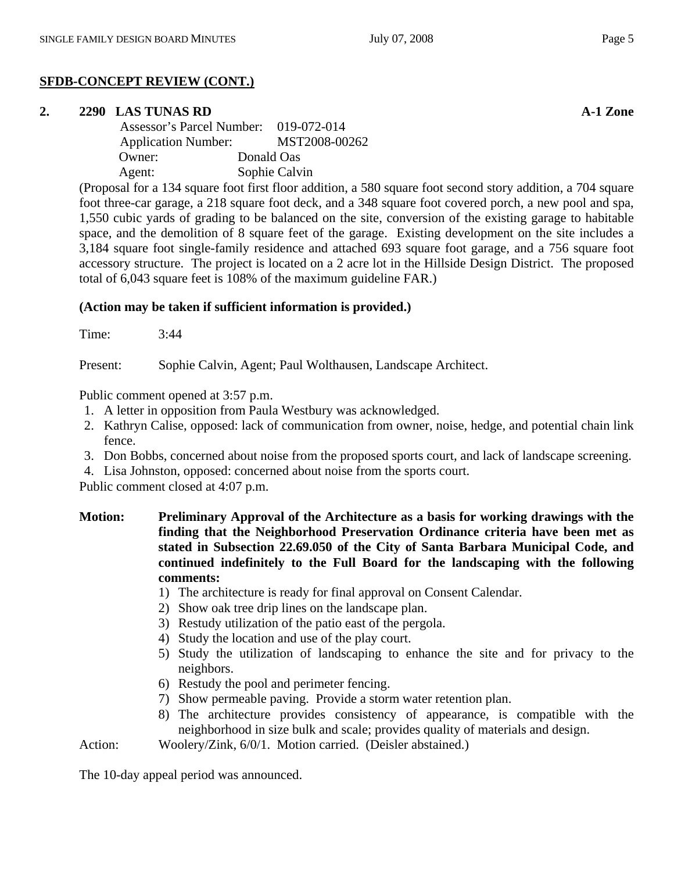# **SFDB-CONCEPT REVIEW (CONT.)**

# **2. 2290 LAS TUNAS RD A-1 Zone**

| Assessor's Parcel Number: 019-072-014 |               |
|---------------------------------------|---------------|
| <b>Application Number:</b>            | MST2008-00262 |
| Owner:                                | Donald Oas    |
| Agent:                                | Sophie Calvin |

(Proposal for a 134 square foot first floor addition, a 580 square foot second story addition, a 704 square foot three-car garage, a 218 square foot deck, and a 348 square foot covered porch, a new pool and spa, 1,550 cubic yards of grading to be balanced on the site, conversion of the existing garage to habitable space, and the demolition of 8 square feet of the garage. Existing development on the site includes a 3,184 square foot single-family residence and attached 693 square foot garage, and a 756 square foot accessory structure. The project is located on a 2 acre lot in the Hillside Design District. The proposed total of 6,043 square feet is 108% of the maximum guideline FAR.)

# **(Action may be taken if sufficient information is provided.)**

Time: 3:44

Present: Sophie Calvin, Agent; Paul Wolthausen, Landscape Architect.

Public comment opened at 3:57 p.m.

- 1. A letter in opposition from Paula Westbury was acknowledged.
- 2. Kathryn Calise, opposed: lack of communication from owner, noise, hedge, and potential chain link fence.
- 3. Don Bobbs, concerned about noise from the proposed sports court, and lack of landscape screening.

4. Lisa Johnston, opposed: concerned about noise from the sports court.

Public comment closed at 4:07 p.m.

- **Motion: Preliminary Approval of the Architecture as a basis for working drawings with the finding that the Neighborhood Preservation Ordinance criteria have been met as stated in Subsection 22.69.050 of the City of Santa Barbara Municipal Code, and continued indefinitely to the Full Board for the landscaping with the following comments:** 
	- 1) The architecture is ready for final approval on Consent Calendar.
	- 2) Show oak tree drip lines on the landscape plan.
	- 3) Restudy utilization of the patio east of the pergola.
	- 4) Study the location and use of the play court.
	- 5) Study the utilization of landscaping to enhance the site and for privacy to the neighbors.
	- 6) Restudy the pool and perimeter fencing.
	- 7) Show permeable paving. Provide a storm water retention plan.
	- 8) The architecture provides consistency of appearance, is compatible with the neighborhood in size bulk and scale; provides quality of materials and design.

Action: Woolery/Zink, 6/0/1. Motion carried. (Deisler abstained.)

The 10-day appeal period was announced.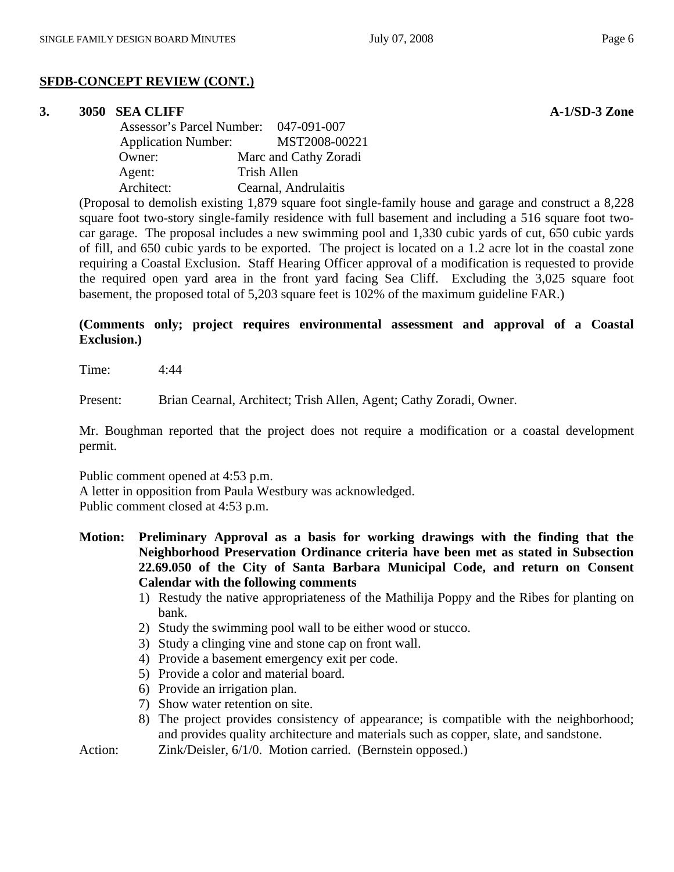# **SFDB-CONCEPT REVIEW (CONT.)**

#### **3. 3050 SEA CLIFF A-1/SD-3 Zone**

 Assessor's Parcel Number: 047-091-007 Application Number: MST2008-00221 Owner: Marc and Cathy Zoradi Agent: Trish Allen Architect: Cearnal, Andrulaitis

(Proposal to demolish existing 1,879 square foot single-family house and garage and construct a 8,228 square foot two-story single-family residence with full basement and including a 516 square foot twocar garage. The proposal includes a new swimming pool and 1,330 cubic yards of cut, 650 cubic yards of fill, and 650 cubic yards to be exported. The project is located on a 1.2 acre lot in the coastal zone requiring a Coastal Exclusion. Staff Hearing Officer approval of a modification is requested to provide the required open yard area in the front yard facing Sea Cliff. Excluding the 3,025 square foot basement, the proposed total of 5,203 square feet is 102% of the maximum guideline FAR.)

# **(Comments only; project requires environmental assessment and approval of a Coastal Exclusion.)**

Time: 4:44

Present: Brian Cearnal, Architect; Trish Allen, Agent; Cathy Zoradi, Owner.

Mr. Boughman reported that the project does not require a modification or a coastal development permit.

Public comment opened at 4:53 p.m. A letter in opposition from Paula Westbury was acknowledged. Public comment closed at 4:53 p.m.

- **Motion: Preliminary Approval as a basis for working drawings with the finding that the Neighborhood Preservation Ordinance criteria have been met as stated in Subsection 22.69.050 of the City of Santa Barbara Municipal Code, and return on Consent Calendar with the following comments** 
	- 1) Restudy the native appropriateness of the Mathilija Poppy and the Ribes for planting on bank.
	- 2) Study the swimming pool wall to be either wood or stucco.
	- 3) Study a clinging vine and stone cap on front wall.
	- 4) Provide a basement emergency exit per code.
	- 5) Provide a color and material board.
	- 6) Provide an irrigation plan.
	- 7) Show water retention on site.
	- 8) The project provides consistency of appearance; is compatible with the neighborhood; and provides quality architecture and materials such as copper, slate, and sandstone.

Action: *Zink/Deisler, 6/1/0. Motion carried.* (Bernstein opposed.)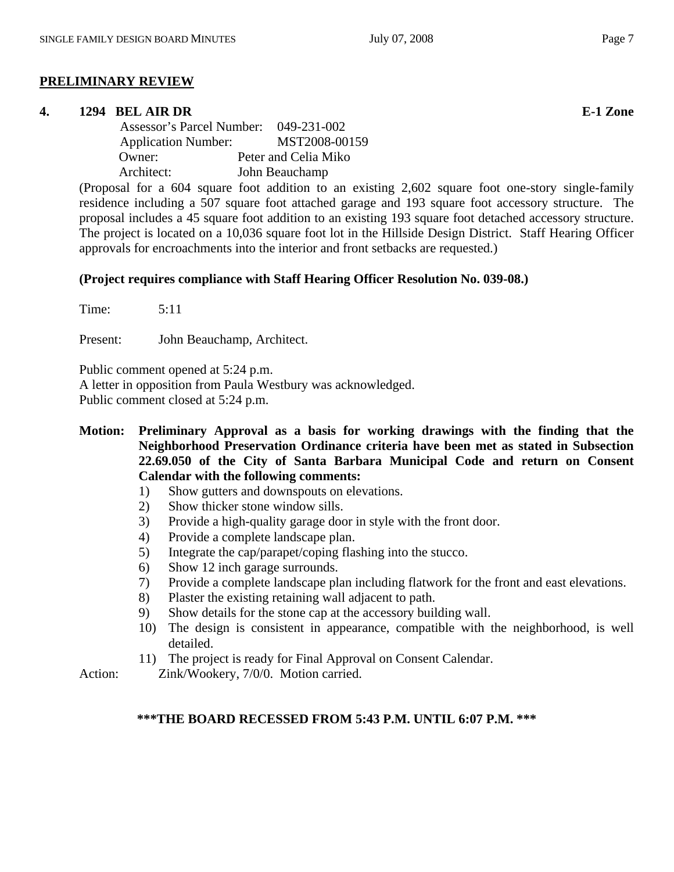# **PRELIMINARY REVIEW**

#### **4. 1294 BEL AIR DR E-1 Zone**

 Assessor's Parcel Number: 049-231-002 Application Number: MST2008-00159 Owner: Peter and Celia Miko Architect: John Beauchamp

(Proposal for a 604 square foot addition to an existing 2,602 square foot one-story single-family residence including a 507 square foot attached garage and 193 square foot accessory structure. The proposal includes a 45 square foot addition to an existing 193 square foot detached accessory structure. The project is located on a 10,036 square foot lot in the Hillside Design District. Staff Hearing Officer approvals for encroachments into the interior and front setbacks are requested.)

# **(Project requires compliance with Staff Hearing Officer Resolution No. 039-08.)**

Time: 5:11

Present: John Beauchamp, Architect.

Public comment opened at 5:24 p.m.

A letter in opposition from Paula Westbury was acknowledged.

Public comment closed at 5:24 p.m.

- **Motion: Preliminary Approval as a basis for working drawings with the finding that the Neighborhood Preservation Ordinance criteria have been met as stated in Subsection 22.69.050 of the City of Santa Barbara Municipal Code and return on Consent Calendar with the following comments:** 
	- 1) Show gutters and downspouts on elevations.
	- 2) Show thicker stone window sills.
	- 3) Provide a high-quality garage door in style with the front door.
	- 4) Provide a complete landscape plan.
	- 5) Integrate the cap/parapet/coping flashing into the stucco.
	- 6) Show 12 inch garage surrounds.
	- 7) Provide a complete landscape plan including flatwork for the front and east elevations.
	- 8) Plaster the existing retaining wall adjacent to path.
	- 9) Show details for the stone cap at the accessory building wall.
	- 10) The design is consistent in appearance, compatible with the neighborhood, is well detailed.
	- 11) The project is ready for Final Approval on Consent Calendar.

Action: Zink/Wookery, 7/0/0. Motion carried.

#### **\*\*\*THE BOARD RECESSED FROM 5:43 P.M. UNTIL 6:07 P.M. \*\*\***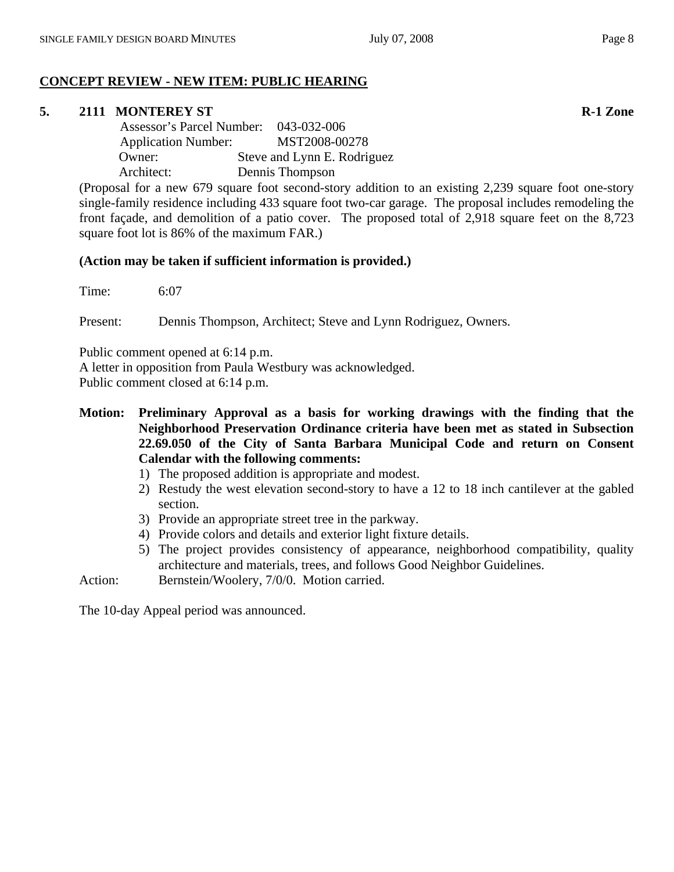# **CONCEPT REVIEW - NEW ITEM: PUBLIC HEARING**

# **5.** 2111 MONTEREY ST R-1 Zone

 Assessor's Parcel Number: 043-032-006 Application Number: MST2008-00278 Owner: Steve and Lynn E. Rodriguez Architect: Dennis Thompson

(Proposal for a new 679 square foot second-story addition to an existing 2,239 square foot one-story single-family residence including 433 square foot two-car garage. The proposal includes remodeling the front façade, and demolition of a patio cover. The proposed total of 2,918 square feet on the 8,723 square foot lot is 86% of the maximum FAR.)

# **(Action may be taken if sufficient information is provided.)**

Time: 6:07

Present: Dennis Thompson, Architect; Steve and Lynn Rodriguez, Owners.

Public comment opened at 6:14 p.m.

A letter in opposition from Paula Westbury was acknowledged.

Public comment closed at 6:14 p.m.

- **Motion: Preliminary Approval as a basis for working drawings with the finding that the Neighborhood Preservation Ordinance criteria have been met as stated in Subsection 22.69.050 of the City of Santa Barbara Municipal Code and return on Consent Calendar with the following comments:**
	- 1) The proposed addition is appropriate and modest.
	- 2) Restudy the west elevation second-story to have a 12 to 18 inch cantilever at the gabled section.
	- 3) Provide an appropriate street tree in the parkway.
	- 4) Provide colors and details and exterior light fixture details.
	- 5) The project provides consistency of appearance, neighborhood compatibility, quality architecture and materials, trees, and follows Good Neighbor Guidelines.

Action: Bernstein/Woolery, 7/0/0. Motion carried.

The 10-day Appeal period was announced.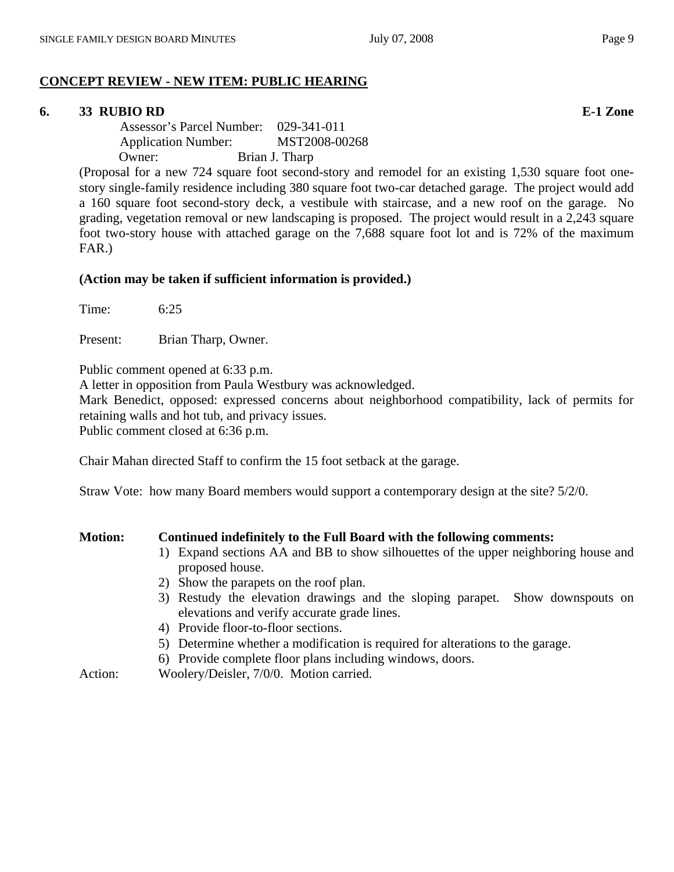# **CONCEPT REVIEW - NEW ITEM: PUBLIC HEARING**

# **6. 33 RUBIO RD E-1 Zone**

 Assessor's Parcel Number: 029-341-011 Application Number: MST2008-00268 Owner: Brian J. Tharp

(Proposal for a new 724 square foot second-story and remodel for an existing 1,530 square foot onestory single-family residence including 380 square foot two-car detached garage. The project would add a 160 square foot second-story deck, a vestibule with staircase, and a new roof on the garage. No grading, vegetation removal or new landscaping is proposed. The project would result in a 2,243 square foot two-story house with attached garage on the 7,688 square foot lot and is 72% of the maximum FAR.)

#### **(Action may be taken if sufficient information is provided.)**

Time: 6:25

Present: Brian Tharp, Owner.

Public comment opened at 6:33 p.m.

A letter in opposition from Paula Westbury was acknowledged.

Mark Benedict, opposed: expressed concerns about neighborhood compatibility, lack of permits for retaining walls and hot tub, and privacy issues.

Public comment closed at 6:36 p.m.

Chair Mahan directed Staff to confirm the 15 foot setback at the garage.

Straw Vote: how many Board members would support a contemporary design at the site? 5/2/0.

| <b>Motion:</b> | Continued indefinitely to the Full Board with the following comments:                                                        |  |  |
|----------------|------------------------------------------------------------------------------------------------------------------------------|--|--|
|                | 1) Expand sections AA and BB to show silhouettes of the upper neighboring house and<br>proposed house.                       |  |  |
|                | 2) Show the parapets on the roof plan.                                                                                       |  |  |
|                | 3) Restudy the elevation drawings and the sloping parapet. Show downspouts on<br>elevations and verify accurate grade lines. |  |  |
|                | 4) Provide floor-to-floor sections.                                                                                          |  |  |
|                | 5) Determine whether a modification is required for alterations to the garage.                                               |  |  |
|                | 6) Provide complete floor plans including windows, doors.                                                                    |  |  |

Action: Woolery/Deisler, 7/0/0. Motion carried.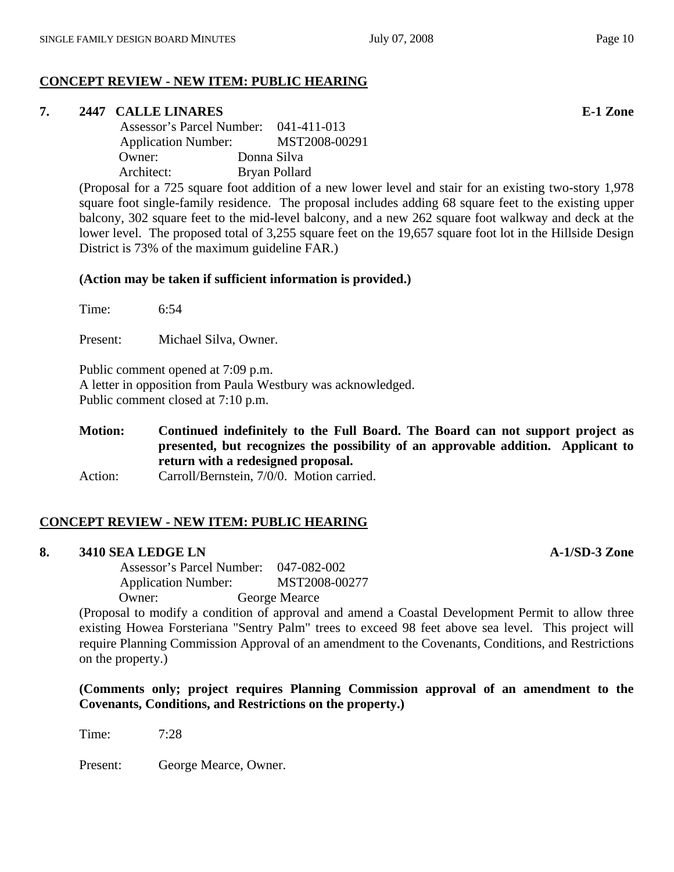# **CONCEPT REVIEW - NEW ITEM: PUBLIC HEARING**

# **7. 2447 CALLE LINARES E-1 Zone**

 Assessor's Parcel Number: 041-411-013 Application Number: MST2008-00291 Owner: Donna Silva Architect: Bryan Pollard

(Proposal for a 725 square foot addition of a new lower level and stair for an existing two-story 1,978 square foot single-family residence. The proposal includes adding 68 square feet to the existing upper balcony, 302 square feet to the mid-level balcony, and a new 262 square foot walkway and deck at the lower level. The proposed total of 3,255 square feet on the 19,657 square foot lot in the Hillside Design District is 73% of the maximum guideline FAR.)

# **(Action may be taken if sufficient information is provided.)**

Time: 6:54

Present: Michael Silva, Owner.

Public comment opened at 7:09 p.m. A letter in opposition from Paula Westbury was acknowledged. Public comment closed at 7:10 p.m.

**Motion: Continued indefinitely to the Full Board. The Board can not support project as presented, but recognizes the possibility of an approvable addition. Applicant to return with a redesigned proposal.**

Action: Carroll/Bernstein, 7/0/0. Motion carried.

# **CONCEPT REVIEW - NEW ITEM: PUBLIC HEARING**

# **8. 3410 SEA LEDGE LN A-1/SD-3 Zone**

 Assessor's Parcel Number: 047-082-002 Application Number: MST2008-00277 Owner: George Mearce

(Proposal to modify a condition of approval and amend a Coastal Development Permit to allow three existing Howea Forsteriana "Sentry Palm" trees to exceed 98 feet above sea level. This project will require Planning Commission Approval of an amendment to the Covenants, Conditions, and Restrictions on the property.)

**(Comments only; project requires Planning Commission approval of an amendment to the Covenants, Conditions, and Restrictions on the property.)** 

Time: 7:28

Present: George Mearce, Owner.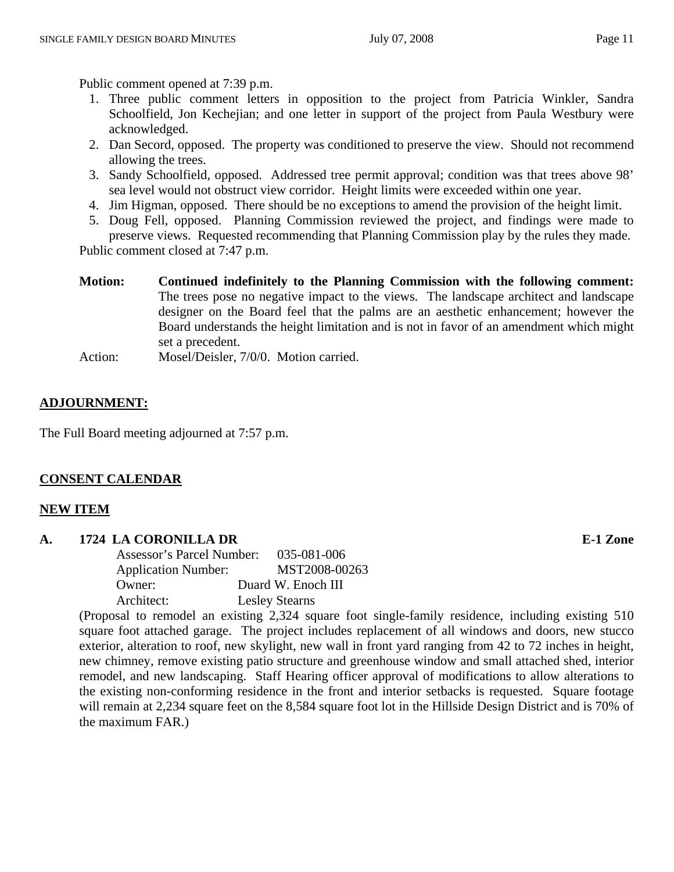Public comment opened at 7:39 p.m.

- 1. Three public comment letters in opposition to the project from Patricia Winkler, Sandra Schoolfield, Jon Kechejian; and one letter in support of the project from Paula Westbury were acknowledged.
- 2. Dan Secord, opposed. The property was conditioned to preserve the view. Should not recommend allowing the trees.
- 3. Sandy Schoolfield, opposed. Addressed tree permit approval; condition was that trees above 98' sea level would not obstruct view corridor. Height limits were exceeded within one year.
- 4. Jim Higman, opposed. There should be no exceptions to amend the provision of the height limit.
- 5. Doug Fell, opposed. Planning Commission reviewed the project, and findings were made to preserve views. Requested recommending that Planning Commission play by the rules they made.

Public comment closed at 7:47 p.m.

- **Motion: Continued indefinitely to the Planning Commission with the following comment:**  The trees pose no negative impact to the views. The landscape architect and landscape designer on the Board feel that the palms are an aesthetic enhancement; however the Board understands the height limitation and is not in favor of an amendment which might set a precedent.
- Action: Mosel/Deisler, 7/0/0. Motion carried.

# **ADJOURNMENT:**

The Full Board meeting adjourned at 7:57 p.m.

# **CONSENT CALENDAR**

# **NEW ITEM**

# **A. 1724 LA CORONILLA DR E-1 Zone**

| Assessor's Parcel Number:  | $035 - 081 - 006$     |
|----------------------------|-----------------------|
| <b>Application Number:</b> | MST2008-00263         |
| Owner:                     | Duard W. Enoch III    |
| Architect:                 | <b>Lesley Stearns</b> |

(Proposal to remodel an existing 2,324 square foot single-family residence, including existing 510 square foot attached garage. The project includes replacement of all windows and doors, new stucco exterior, alteration to roof, new skylight, new wall in front yard ranging from 42 to 72 inches in height, new chimney, remove existing patio structure and greenhouse window and small attached shed, interior remodel, and new landscaping. Staff Hearing officer approval of modifications to allow alterations to the existing non-conforming residence in the front and interior setbacks is requested. Square footage will remain at 2,234 square feet on the 8,584 square foot lot in the Hillside Design District and is 70% of the maximum FAR.)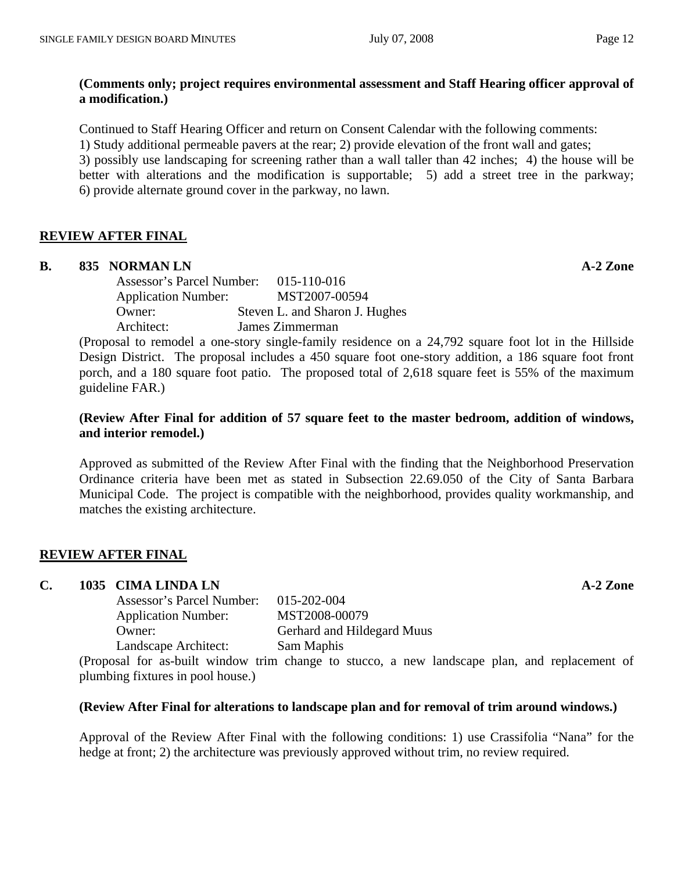Continued to Staff Hearing Officer and return on Consent Calendar with the following comments: 1) Study additional permeable pavers at the rear; 2) provide elevation of the front wall and gates; 3) possibly use landscaping for screening rather than a wall taller than 42 inches; 4) the house will be better with alterations and the modification is supportable; 5) add a street tree in the parkway; 6) provide alternate ground cover in the parkway, no lawn.

# **REVIEW AFTER FINAL**

# **B.** 835 NORMAN LN **A-2** Zone

 Assessor's Parcel Number: 015-110-016 Application Number: MST2007-00594 Owner: Steven L. and Sharon J. Hughes Architect: James Zimmerman

(Proposal to remodel a one-story single-family residence on a 24,792 square foot lot in the Hillside Design District. The proposal includes a 450 square foot one-story addition, a 186 square foot front porch, and a 180 square foot patio. The proposed total of 2,618 square feet is 55% of the maximum guideline FAR.)

# **(Review After Final for addition of 57 square feet to the master bedroom, addition of windows, and interior remodel.)**

Approved as submitted of the Review After Final with the finding that the Neighborhood Preservation Ordinance criteria have been met as stated in Subsection 22.69.050 of the City of Santa Barbara Municipal Code. The project is compatible with the neighborhood, provides quality workmanship, and matches the existing architecture.

# **REVIEW AFTER FINAL**

# **C. 1035 CIMA LINDA LN A-2 Zone**

| Assessor's Parcel Number:  | 015-202-004                |
|----------------------------|----------------------------|
| <b>Application Number:</b> | MST2008-00079              |
| Owner:                     | Gerhard and Hildegard Muus |
| Landscape Architect:       | Sam Maphis                 |
|                            |                            |

(Proposal for as-built window trim change to stucco, a new landscape plan, and replacement of plumbing fixtures in pool house.)

# **(Review After Final for alterations to landscape plan and for removal of trim around windows.)**

Approval of the Review After Final with the following conditions: 1) use Crassifolia "Nana" for the hedge at front; 2) the architecture was previously approved without trim, no review required.